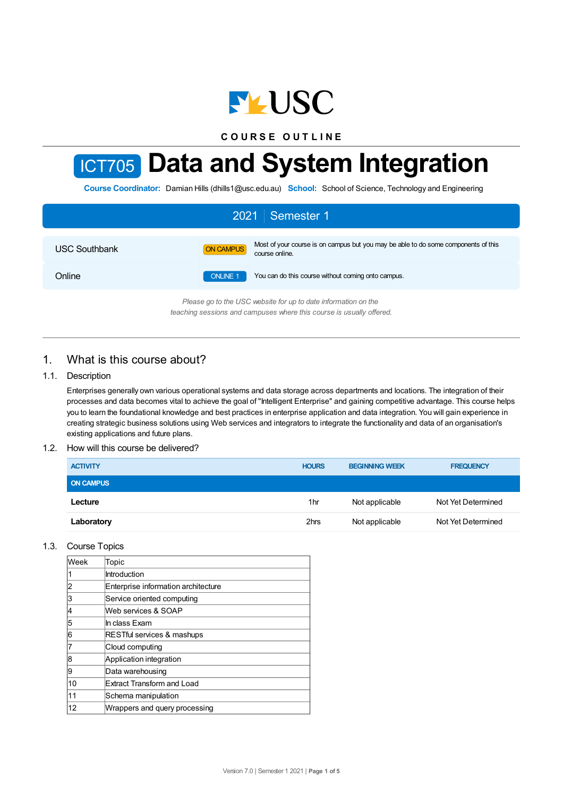

**C O U R S E O U T L I N E**

# ICT705 **Data and System Integration**

**Course Coordinator:** Damian Hills (dhills1@usc.edu.au) **School:** School of Science, Technology and Engineering

| 2021 Semester 1                                                |                 |                                                                                                      |  |  |  |
|----------------------------------------------------------------|-----------------|------------------------------------------------------------------------------------------------------|--|--|--|
| <b>USC Southbank</b>                                           | ON CAMPUS       | Most of your course is on campus but you may be able to do some components of this<br>course online. |  |  |  |
| Online                                                         | <b>ONLINE 1</b> | You can do this course without coming onto campus.                                                   |  |  |  |
| Please go to the USC website for up to date information on the |                 |                                                                                                      |  |  |  |

*teaching sessions and campuses where this course is usually offered.*

# 1. What is this course about?

## 1.1. Description

Enterprises generally own various operational systems and data storage across departments and locations. The integration of their processes and data becomes vital to achieve the goal of "Intelligent Enterprise" and gaining competitive advantage. This course helps you to learn the foundational knowledge and best practices in enterprise application and data integration. You will gain experience in creating strategic business solutions using Web services and integrators to integrate the functionality and data of an organisation's existing applications and future plans.

#### 1.2. How will this course be delivered?

| <b>ACTIVITY</b>  | <b>HOURS</b>    | <b>BEGINNING WEEK</b> | <b>FREQUENCY</b>   |
|------------------|-----------------|-----------------------|--------------------|
| <b>ON CAMPUS</b> |                 |                       |                    |
| Lecture          | 1 <sub>hr</sub> | Not applicable        | Not Yet Determined |
| Laboratory       | 2hrs            | Not applicable        | Not Yet Determined |

#### 1.3. Course Topics

| <b>Week</b> | Topic                               |
|-------------|-------------------------------------|
|             | Introduction                        |
| 2           | Enterprise information architecture |
| 3           | Service oriented computing          |
| 14          | Web services & SOAP                 |
| 5           | In class Exam                       |
| 6           | RESTful services & mashups          |
| 17          | Cloud computing                     |
| 8           | Application integration             |
| 9           | Data warehousing                    |
| 10          | <b>Extract Transform and Load</b>   |
| 11          | Schema manipulation                 |
| 12          | Wrappers and query processing       |
|             |                                     |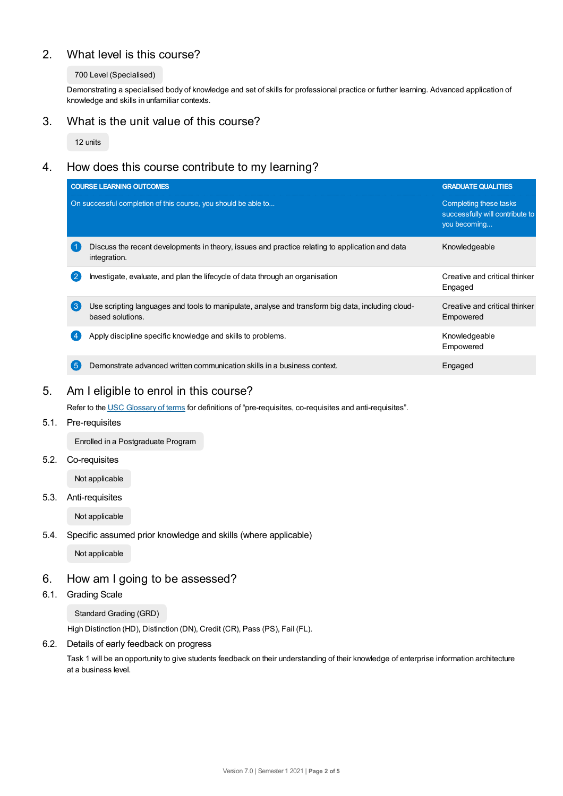# 2. What level is this course?

### 700 Level (Specialised)

Demonstrating a specialised body of knowledge and set of skills for professional practice or further learning. Advanced application of knowledge and skills in unfamiliar contexts.

# 3. What is the unit value of this course?

12 units

# 4. How does this course contribute to my learning?

|                  | <b>COURSE LEARNING OUTCOMES</b>                                                                                       | <b>GRADUATE QUALITIES</b>                                                 |
|------------------|-----------------------------------------------------------------------------------------------------------------------|---------------------------------------------------------------------------|
|                  | On successful completion of this course, you should be able to                                                        | Completing these tasks<br>successfully will contribute to<br>you becoming |
|                  | Discuss the recent developments in theory, issues and practice relating to application and data<br>integration.       | Knowledgeable                                                             |
| $\mathbf{2}$     | Investigate, evaluate, and plan the lifecycle of data through an organisation                                         | Creative and critical thinker<br>Engaged                                  |
| $\left(3\right)$ | Use scripting languages and tools to manipulate, analyse and transform big data, including cloud-<br>based solutions. | Creative and critical thinker<br>Empowered                                |
|                  | Apply discipline specific knowledge and skills to problems.                                                           | Knowledgeable<br>Empowered                                                |
| 5 <sup>5</sup>   | Demonstrate advanced written communication skills in a business context.                                              | Engaged                                                                   |

# 5. Am I eligible to enrol in this course?

Refer to the USC [Glossary](https://www.usc.edu.au/about/policies-and-procedures/glossary-of-terms-for-policy-and-procedures) of terms for definitions of "pre-requisites, co-requisites and anti-requisites".

## 5.1. Pre-requisites

Enrolled in a Postgraduate Program

## 5.2. Co-requisites

Not applicable

5.3. Anti-requisites

Not applicable

5.4. Specific assumed prior knowledge and skills (where applicable)

Not applicable

## 6. How am I going to be assessed?

6.1. Grading Scale

Standard Grading (GRD)

High Distinction (HD), Distinction (DN), Credit (CR), Pass (PS), Fail (FL).

## 6.2. Details of early feedback on progress

Task 1 will be an opportunity to give students feedback on their understanding of their knowledge of enterprise information architecture at a business level.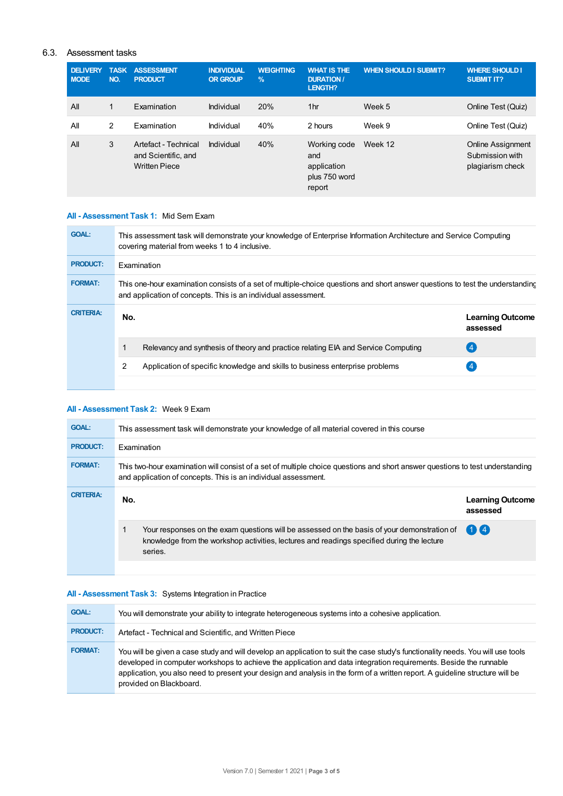## 6.3. Assessment tasks

| <b>DELIVERY</b><br><b>NODE</b> | <b>TASK</b><br>NO. | <b>ASSESSMENT</b><br><b>PRODUCT</b>                                 | <b>INDIVIDUAL</b><br><b>OR GROUP</b> | <b>WEIGHTING</b><br>$\%$ | <b>WHAT IS THE</b><br><b>DURATION /</b><br><b>LENGTH?</b>     | <b>WHEN SHOULD I SUBMIT?</b> | <b>WHERE SHOULD I</b><br><b>SUBMIT IT?</b>                      |
|--------------------------------|--------------------|---------------------------------------------------------------------|--------------------------------------|--------------------------|---------------------------------------------------------------|------------------------------|-----------------------------------------------------------------|
| All                            | 1                  | Examination                                                         | Individual                           | 20%                      | 1 <sub>hr</sub>                                               | Week 5                       | Online Test (Quiz)                                              |
| All                            | 2                  | Examination                                                         | Individual                           | 40%                      | 2 hours                                                       | Week 9                       | Online Test (Quiz)                                              |
| All                            | 3                  | Artefact - Technical<br>and Scientific, and<br><b>Written Piece</b> | Individual                           | 40%                      | Working code<br>and<br>application<br>plus 750 word<br>report | Week 12                      | <b>Online Assignment</b><br>Submission with<br>plagiarism check |

### **All - Assessment Task 1:** Mid Sem Exam

| <b>GOAL:</b>     | This assessment task will demonstrate your knowledge of Enterprise Information Architecture and Service Computing<br>covering material from weeks 1 to 4 inclusive.                             |                                                                                   |                                     |  |  |  |
|------------------|-------------------------------------------------------------------------------------------------------------------------------------------------------------------------------------------------|-----------------------------------------------------------------------------------|-------------------------------------|--|--|--|
| <b>PRODUCT:</b>  | <b>Examination</b>                                                                                                                                                                              |                                                                                   |                                     |  |  |  |
| <b>FORMAT:</b>   | This one-hour examination consists of a set of multiple-choice questions and short answer questions to test the understanding<br>and application of concepts. This is an individual assessment. |                                                                                   |                                     |  |  |  |
| <b>CRITERIA:</b> | No.                                                                                                                                                                                             |                                                                                   | <b>Learning Outcome</b><br>assessed |  |  |  |
|                  |                                                                                                                                                                                                 | Relevancy and synthesis of theory and practice relating EIA and Service Computing | $\overline{4}$                      |  |  |  |
|                  | 2                                                                                                                                                                                               | Application of specific knowledge and skills to business enterprise problems      |                                     |  |  |  |
|                  |                                                                                                                                                                                                 |                                                                                   |                                     |  |  |  |

## **All - Assessment Task 2:** Week 9 Exam

| <b>GOAL:</b>     | This assessment task will demonstrate your knowledge of all material covered in this course                                                                                                          |                                     |  |  |  |
|------------------|------------------------------------------------------------------------------------------------------------------------------------------------------------------------------------------------------|-------------------------------------|--|--|--|
| <b>PRODUCT:</b>  | Examination                                                                                                                                                                                          |                                     |  |  |  |
| <b>FORMAT:</b>   | This two-hour examination will consist of a set of multiple choice questions and short answer questions to test understanding<br>and application of concepts. This is an individual assessment.      |                                     |  |  |  |
| <b>CRITERIA:</b> | No.                                                                                                                                                                                                  | <b>Learning Outcome</b><br>assessed |  |  |  |
|                  | Your responses on the exam questions will be assessed on the basis of your demonstration of<br>knowledge from the workshop activities, lectures and readings specified during the lecture<br>series. | $\mathbf{1}$                        |  |  |  |
|                  |                                                                                                                                                                                                      |                                     |  |  |  |

## **All - Assessment Task 3:** Systems Integration in Practice

| <b>GOAL:</b>    | You will demonstrate your ability to integrate heterogeneous systems into a cohesive application.                                                                                                                                                                                                                                                                                                                |
|-----------------|------------------------------------------------------------------------------------------------------------------------------------------------------------------------------------------------------------------------------------------------------------------------------------------------------------------------------------------------------------------------------------------------------------------|
| <b>PRODUCT:</b> | Artefact - Technical and Scientific, and Written Piece                                                                                                                                                                                                                                                                                                                                                           |
| <b>FORMAT:</b>  | You will be given a case study and will develop an application to suit the case study's functionality needs. You will use tools<br>developed in computer workshops to achieve the application and data integration requirements. Beside the runnable<br>application, you also need to present your design and analysis in the form of a written report. A quideline structure will be<br>provided on Blackboard. |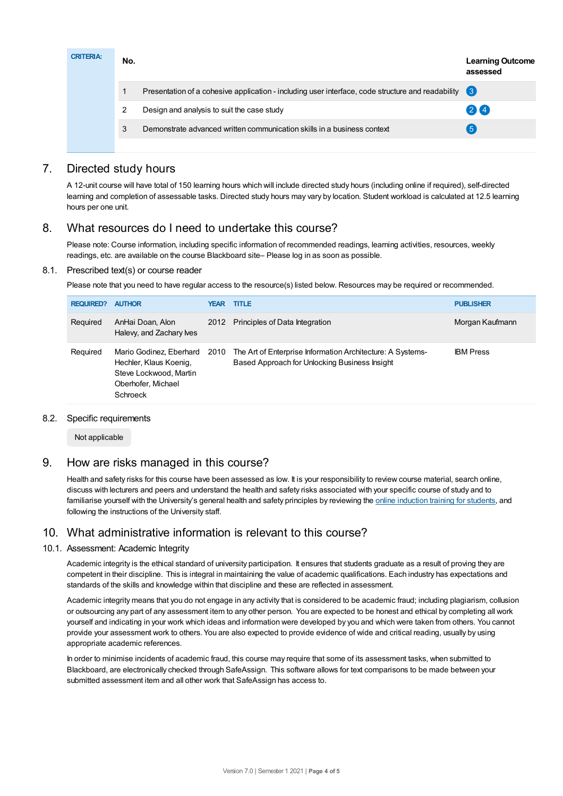| <b>CRITERIA:</b> | No. |                                                                                                       | <b>Learning Outcome</b><br>assessed |
|------------------|-----|-------------------------------------------------------------------------------------------------------|-------------------------------------|
|                  |     | Presentation of a cohesive application - including user interface, code structure and readability (3) |                                     |
|                  | 2   | Design and analysis to suit the case study                                                            | $(2)$ $(4)$                         |
|                  | 3   | Demonstrate advanced written communication skills in a business context                               | $5^{\circ}$                         |
|                  |     |                                                                                                       |                                     |

# 7. Directed study hours

A 12-unit course will have total of 150 learning hours which will include directed study hours (including online if required), self-directed learning and completion of assessable tasks. Directed study hours may vary by location. Student workload is calculated at 12.5 learning hours per one unit.

# 8. What resources do I need to undertake this course?

Please note: Course information, including specific information of recommended readings, learning activities, resources, weekly readings, etc. are available on the course Blackboard site– Please log in as soon as possible.

## 8.1. Prescribed text(s) or course reader

Please note that you need to have regular access to the resource(s) listed below. Resources may be required or recommended.

| <b>REQUIRED?</b> | <b>AUTHOR</b>                                                                                                      |      | <b>YEAR TITLE</b>                                                                                           | <b>PUBLISHER</b> |
|------------------|--------------------------------------------------------------------------------------------------------------------|------|-------------------------------------------------------------------------------------------------------------|------------------|
| Required         | AnHai Doan, Alon<br>Halevy, and Zachary lves                                                                       | 2012 | Principles of Data Integration                                                                              | Morgan Kaufmann  |
| Required         | Mario Godinez, Eberhard 2010<br>Hechler, Klaus Koenig,<br>Steve Lockwood, Martin<br>Oberhofer, Michael<br>Schroeck |      | The Art of Enterprise Information Architecture: A Systems-<br>Based Approach for Unlocking Business Insight | <b>IBM</b> Press |

## 8.2. Specific requirements

Not applicable

# 9. How are risks managed in this course?

Health and safety risks for this course have been assessed as low. It is your responsibility to review course material, search online, discuss with lecturers and peers and understand the health and safety risks associated with your specific course of study and to familiarise yourself with the University's general health and safety principles by reviewing the online [induction](https://online.usc.edu.au/webapps/blackboard/content/listContentEditable.jsp?content_id=_632657_1&course_id=_14432_1) training for students, and following the instructions of the University staff.

# 10. What administrative information is relevant to this course?

## 10.1. Assessment: Academic Integrity

Academic integrity is the ethical standard of university participation. It ensures that students graduate as a result of proving they are competent in their discipline. This is integral in maintaining the value of academic qualifications. Each industry has expectations and standards of the skills and knowledge within that discipline and these are reflected in assessment.

Academic integrity means that you do not engage in any activity that is considered to be academic fraud; including plagiarism, collusion or outsourcing any part of any assessment item to any other person. You are expected to be honest and ethical by completing all work yourself and indicating in your work which ideas and information were developed by you and which were taken from others. You cannot provide your assessment work to others. You are also expected to provide evidence of wide and critical reading, usually by using appropriate academic references.

In order to minimise incidents of academic fraud, this course may require that some of its assessment tasks, when submitted to Blackboard, are electronically checked through SafeAssign. This software allows for text comparisons to be made between your submitted assessment item and all other work that SafeAssign has access to.